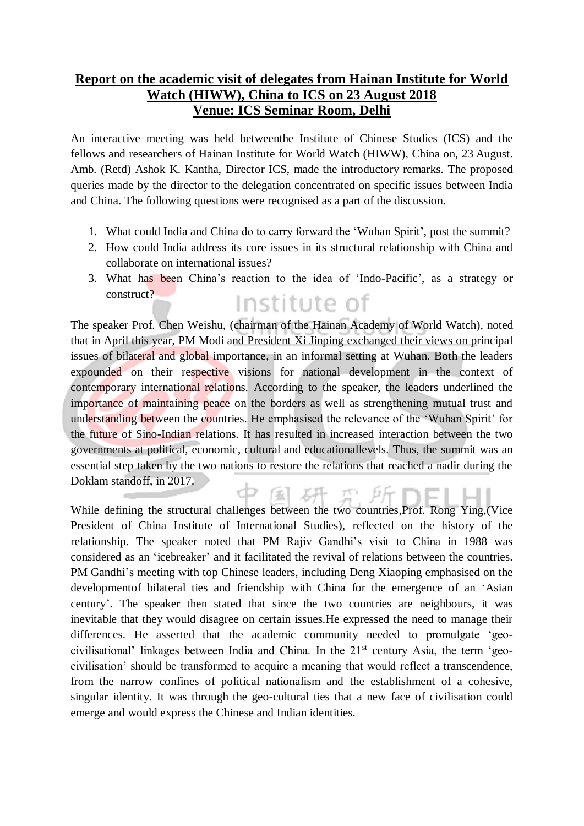## **Report on the academic visit of delegates from Hainan Institute for World Watch (HIWW), China to ICS on 23 August 2018 Venue: ICS Seminar Room, Delhi**

An interactive meeting was held betweenthe Institute of Chinese Studies (ICS) and the fellows and researchers of Hainan Institute for World Watch (HIWW), China on, 23 August. Amb. (Retd) Ashok K. Kantha, Director ICS, made the introductory remarks. The proposed queries made by the director to the delegation concentrated on specific issues between India and China. The following questions were recognised as a part of the discussion.

- 1. What could India and China do to carry forward the 'Wuhan Spirit', post the summit?
- 2. How could India address its core issues in its structural relationship with China and collaborate on international issues?
- 3. What has been China's reaction to the idea of 'Indo-Pacific', as a strategy or construct? Institute of

The speaker Prof. Chen Weishu, (chairman of the Hainan Academy of World Watch), noted that in April this year, PM Modi and President Xi Jinping exchanged their views on principal issues of bilateral and global importance, in an informal setting at Wuhan. Both the leaders expounded on their respective visions for national development in the context of contemporary international relations. According to the speaker, the leaders underlined the importance of maintaining peace on the borders as well as strengthening mutual trust and understanding between the countries. He emphasised the relevance of the 'Wuhan Spirit' for the future of Sino-Indian relations. It has resulted in increased interaction between the two governments at political, economic, cultural and educationallevels. Thus, the summit was an essential step taken by the two nations to restore the relations that reached a nadir during the Doklam standoff, in 2017. 中国研究所DEI

While defining the structural challenges between the two countries,Prof. Rong Ying,(Vice President of China Institute of International Studies), reflected on the history of the relationship. The speaker noted that PM Rajiv Gandhi's visit to China in 1988 was considered as an 'icebreaker' and it facilitated the revival of relations between the countries. PM Gandhi's meeting with top Chinese leaders, including Deng Xiaoping emphasised on the developmentof bilateral ties and friendship with China for the emergence of an 'Asian century'. The speaker then stated that since the two countries are neighbours, it was inevitable that they would disagree on certain issues.He expressed the need to manage their differences. He asserted that the academic community needed to promulgate 'geocivilisational' linkages between India and China. In the  $21<sup>st</sup>$  century Asia, the term 'geocivilisation' should be transformed to acquire a meaning that would reflect a transcendence, from the narrow confines of political nationalism and the establishment of a cohesive, singular identity. It was through the geo-cultural ties that a new face of civilisation could emerge and would express the Chinese and Indian identities.